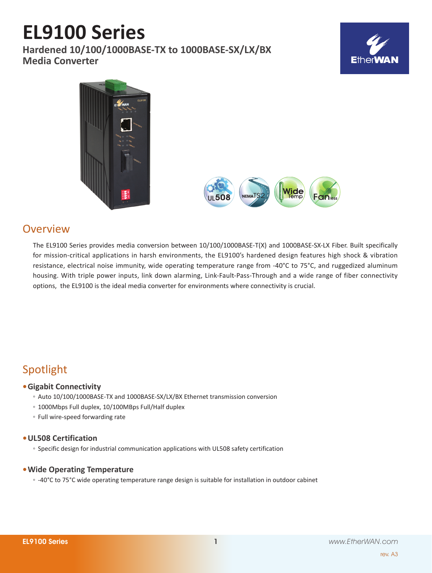# **EL9100 Series**

**Hardened 10/100/1000BASE-TX to 1000BASE-SX/LX/BX Media Converter**







### **Overview**

The EL9100 Series provides media conversion between 10/100/1000BASE-T(X) and 1000BASE-SX-LX Fiber. Built specifically for mission-critical applications in harsh environments, the EL9100's hardened design features high shock & vibration resistance, electrical noise immunity, wide operating temperature range from -40°C to 75°C, and ruggedized aluminum housing. With triple power inputs, link down alarming, Link-Fault-Pass-Through and a wide range of fiber connectivity options, the EL9100 is the ideal media converter for environments where connectivity is crucial.

## Spotlight

#### **• Gigabit Connectivity**

- Auto 10/100/1000BASE-TX and 1000BASE-SX/LX/BX Ethernet transmission conversion
- 1000Mbps Full duplex, 10/100MBps Full/Half duplex
- Full wire-speed forwarding rate

#### **• UL508 Certification**

◦ Specific design for industrial communication applications with UL508 safety certification

#### **• Wide Operating Temperature**

◦ -40°C to 75°C wide operating temperature range design is suitable for installation in outdoor cabinet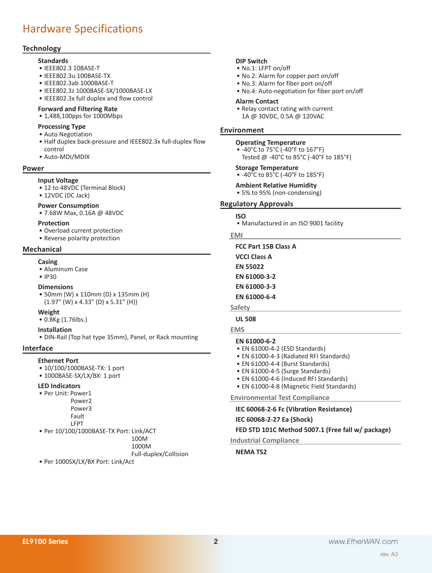### Hardware Specifications

#### **Technology**

- **Standards**
- • IEEE802.3 10BASE-T
- • IEEE802.3u 100BASE-TX
- • IEEE802.3ab 1000BASE-T
- • IEEE802.3z 1000BASE-SX/1000BASE-LX
- • IEEE802.3x full duplex and flow control

#### **Forward and Filtering Rate**

• 1,488,100pps for 1000Mbps

#### **Processing Type**

- Auto Negotiation
- • Half duplex back-pressure and IEEE802.3x full-duplex flow control
- • Auto-MDI/MDIX

#### **Power**

#### **Input Voltage**

- 12 to 48VDC (Terminal Block)
- 12VDC (DC Jack)

#### **Power Consumption**

• 7.68W Max, 0.16A @ 48VDC

#### **Protection**

- • Overload current protection
- Reverse polarity protection

#### **Mechanical**

#### **Casing**

- • Aluminum Case
- IP30

#### **Dimensions**

• 50mm (W) x 110mm (D) x 135mm (H) (1.97" (W) x 4.33" (D) x 5.31" (H))

#### **Weight**

• 0.8Kg (1.76lbs.)

#### **Installation**

• DIN-Rail (Top hat type 35mm), Panel, or Rack mounting

#### **Interface**

#### **Ethernet Port**

- 10/100/1000BASE-TX: 1 port
- 1000BASE-SX/LX/BX: 1 port

#### **LED Indicators**

- • Per Unit: Power1 Power2 Power3
	- LFPT
- 

#### 100M

• Per 1000SX/LX/BX Port: Link/Act

#### **DIP Switch**

- • No.1: LFPT on/off
- No.2: Alarm for copper port on/off
- • No.3: Alarm for fiber port on/off
- • No.4: Auto-negotiation for fiber port on/off

#### **Alarm Contact**

• Relay contact rating with current 1A @ 30VDC, 0.5A @ 120VAC

#### **Environment**

#### **Operating Temperature**

• -40°C to 75°C (-40°F to 167°F) Tested @ -40°C to 85°C (-40°F to 185°F)

#### **Storage Temperature**

• -40°C to 85°C (-40°F to 185°F)

#### **Ambient Relative Humidity**

• 5% to 95% (non-condensing)

#### **Regulatory Approvals**

#### **ISO**

• Manufactured in an ISO 9001 facility

#### **EMI**

**FCC Part 15B Class A VCCI Class A EN 55022 EN 61000-3-2 EN 61000-3-3 EN 61000-6-4 Safety**

#### **UL 508**

**EMS**

#### **EN 61000-6-2**

- EN 61000-4-2 (ESD Standards)
- EN 61000-4-3 (Radiated RFI Standards)
- EN 61000-4-4 (Burst Standards)
- EN 61000-4-5 (Surge Standards)
- EN 61000-4-6 (Induced RFI Standards)
- EN 61000-4-8 (Magnetic Field Standards)

**Environmental Test Compliance**

#### **IEC 60068-2-6 Fc (Vibration Resistance)**

#### **IEC 60068-2-27 Ea (Shock)**

#### **FED STD 101C Method 5007.1 (Free fall w/ package)**

**Industrial Compliance**

#### **NEMA TS2**

Fault

• Per 10/100/1000BASE-TX Port: Link/ACT

#### 1000M

Full-duplex/Collision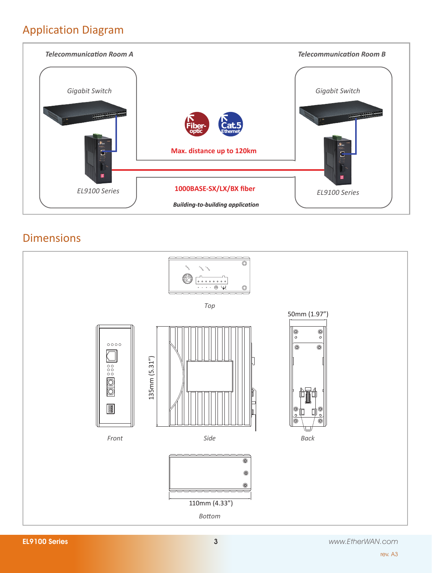### Application Diagram



### Dimensions